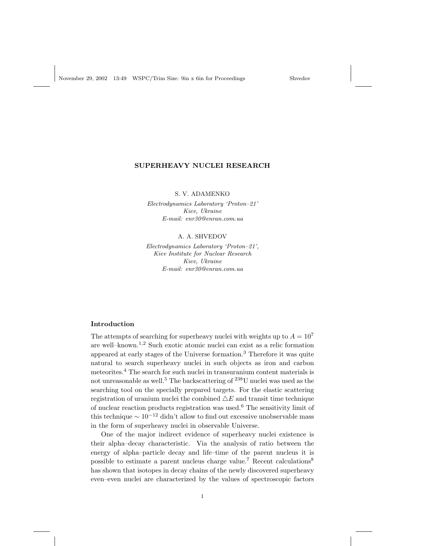## SUPERHEAVY NUCLEI RESEARCH

S. V. ADAMENKO

Electrodynamics Laboratory 'Proton–21' Kiev, Ukraine E-mail: enr30@enran.com.ua

A. A. SHVEDOV

Electrodynamics Laboratory 'Proton–21', Kiev Institute for Nuclear Research Kiev, Ukraine E-mail: enr30@enran.com.ua

### Introduction

The attempts of searching for superheavy nuclei with weights up to  $A = 10^7$ are well–known.<sup>1</sup>,<sup>2</sup> Such exotic atomic nuclei can exist as a relic formation appeared at early stages of the Universe formation.<sup>3</sup> Therefore it was quite natural to search superheavy nuclei in such objects as iron and carbon meteorites.<sup>4</sup> The search for such nuclei in transuranium content materials is not unreasonable as well.<sup>5</sup> The backscattering of  $^{238}$ U nuclei was used as the searching tool on the specially prepared targets. For the elastic scattering registration of uranium nuclei the combined  $\Delta E$  and transit time technique of nuclear reaction products registration was used.<sup>6</sup> The sensitivity limit of this technique  $\sim 10^{-12}$  didn't allow to find out excessive unobservable mass in the form of superheavy nuclei in observable Universe.

One of the major indirect evidence of superheavy nuclei existence is their alpha–decay characteristic. Via the analysis of ratio between the energy of alpha–particle decay and life–time of the parent nucleus it is possible to estimate a parent nucleus charge value.<sup>7</sup> Recent calculations<sup>8</sup> has shown that isotopes in decay chains of the newly discovered superheavy even–even nuclei are characterized by the values of spectroscopic factors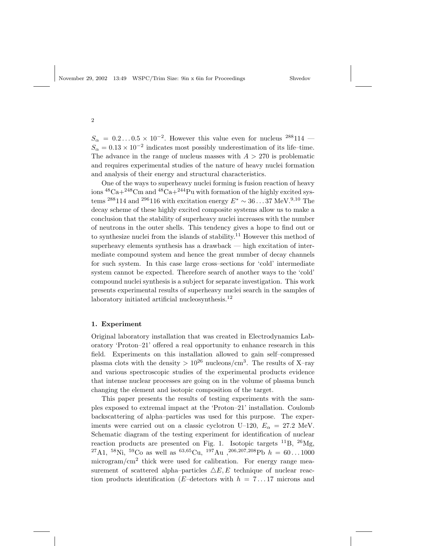$S_{\alpha} = 0.2 \dots 0.5 \times 10^{-2}$ . However this value even for nucleus  $^{288}114$  —  $S_{\alpha} = 0.13 \times 10^{-2}$  indicates most possibly underestimation of its life–time. The advance in the range of nucleus masses with  $A > 270$  is problematic and requires experimental studies of the nature of heavy nuclei formation and analysis of their energy and structural characteristics.

One of the ways to superheavy nuclei forming is fusion reaction of heavy ions  ${}^{48}Ca+{}^{248}Cm$  and  ${}^{48}Ca+{}^{244}Pu$  with formation of the highly excited systems <sup>288</sup>114 and <sup>296</sup>116 with excitation energy  $E^* \sim 36...37 \text{ MeV.}^{9,10}$  The decay scheme of these highly excited composite systems allow us to make a conclusion that the stability of superheavy nuclei increases with the number of neutrons in the outer shells. This tendency gives a hope to find out or to synthesize nuclei from the islands of stability.<sup>11</sup> However this method of superheavy elements synthesis has a drawback — high excitation of intermediate compound system and hence the great number of decay channels for such system. In this case large cross–sections for 'cold' intermediate system cannot be expected. Therefore search of another ways to the 'cold' compound nuclei synthesis is a subject for separate investigation. This work presents experimental results of superheavy nuclei search in the samples of laboratory initiated artificial nucleosynthesis.<sup>12</sup>

## 1. Experiment

Original laboratory installation that was created in Electrodynamics Laboratory 'Proton–21' offered a real opportunity to enhance research in this field. Experiments on this installation allowed to gain self–compressed plasma clots with the density  $> 10^{26}$  nucleons/cm<sup>3</sup>. The results of X-ray and various spectroscopic studies of the experimental products evidence that intense nuclear processes are going on in the volume of plasma bunch changing the element and isotopic composition of the target.

This paper presents the results of testing experiments with the samples exposed to extremal impact at the 'Proton–21' installation. Coulomb backscattering of alpha–particles was used for this purpose. The experiments were carried out on a classic cyclotron U–120,  $E_{\alpha} = 27.2$  MeV. Schematic diagram of the testing experiment for identification of nuclear reaction products are presented on Fig. 1. Isotopic targets  $^{11}B$ ,  $^{26}Mg$ , <sup>27</sup>A1, <sup>58</sup>Ni, <sup>59</sup>Co as well as <sup>63,65</sup>Cu,  $^{197}$ Au ,  $^{206,207,208}$ Pb  $h = 60...1000$ microgram/cm<sup>2</sup> thick were used for calibration. For energy range measurement of scattered alpha–particles  $\triangle E, E$  technique of nuclear reaction products identification (E–detectors with  $h = 7...17$  microns and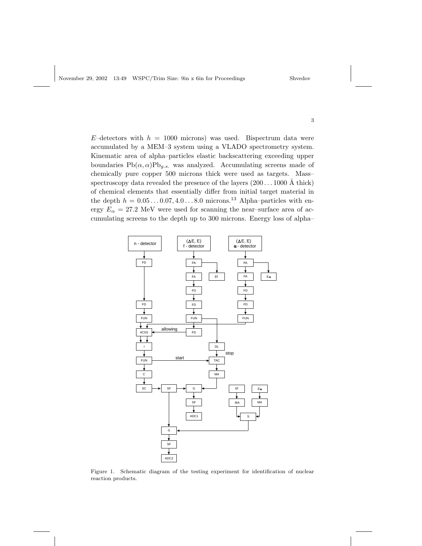$E$ –detectors with  $h = 1000$  microns) was used. Bispectrum data were accumulated by a MEM–3 system using a VLADO spectrometry system. Kinematic area of alpha–particles elastic backscattering exceeding upper boundaries  $Pb(\alpha, \alpha)Pb_{q.s.}$  was analyzed. Accumulating screens made of chemically pure copper 500 microns thick were used as targets. Mass– spectroscopy data revealed the presence of the layers  $(200 \dots 1000 \text{ Å} \text{thick})$ of chemical elements that essentially differ from initial target material in the depth  $h = 0.05 \ldots 0.07, 4.0 \ldots 8.0$  microns.<sup>13</sup> Alpha–particles with energy  $E_{\alpha} = 27.2$  MeV were used for scanning the near-surface area of accumulating screens to the depth up to 300 microns. Energy loss of alpha–



Figure 1. Schematic diagram of the testing experiment for identification of nuclear reaction products.

3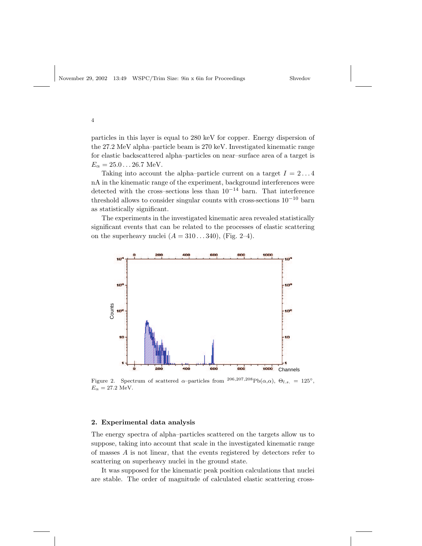particles in this layer is equal to 280 keV for copper. Energy dispersion of the 27.2 MeV alpha–particle beam is 270 keV. Investigated kinematic range for elastic backscattered alpha–particles on near–surface area of a target is  $E_{\alpha} = 25.0 \dots 26.7 \text{ MeV}.$ 

Taking into account the alpha–particle current on a target  $I = 2...4$ nA in the kinematic range of the experiment, background interferences were detected with the cross–sections less than  $10^{-14}$  barn. That interference threshold allows to consider singular counts with cross-sections  $10^{-10}$  barn as statistically significant.

The experiments in the investigated kinematic area revealed statistically significant events that can be related to the processes of elastic scattering on the superheavy nuclei  $(A = 310...340)$ , (Fig. 2–4).



Figure 2. Spectrum of scattered  $\alpha$ -particles from <sup>206,207,208</sup>Pb( $\alpha$ , $\alpha$ ),  $\Theta_{l,s} = 125^\circ$ ,  $E_{\alpha} = 27.2$  MeV.

#### 2. Experimental data analysis

The energy spectra of alpha–particles scattered on the targets allow us to suppose, taking into account that scale in the investigated kinematic range of masses A is not linear, that the events registered by detectors refer to scattering on superheavy nuclei in the ground state.

It was supposed for the kinematic peak position calculations that nuclei are stable. The order of magnitude of calculated elastic scattering cross-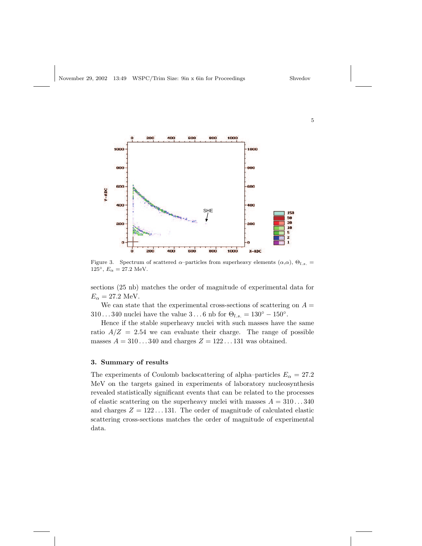

Figure 3. Spectrum of scattered  $\alpha$ -particles from superheavy elements  $(\alpha,\alpha)$ ,  $\Theta_{l,s}$ .  $125^{\circ}$ ,  $E_{\alpha} = 27.2$  MeV.

sections (25 nb) matches the order of magnitude of experimental data for  $E_{\alpha} = 27.2$  MeV.

We can state that the experimental cross-sections of scattering on  $A =$  $310...340$  nuclei have the value  $3...6$  nb for  $\Theta_{l.s.} = 130^{\circ} - 150^{\circ}$ .

Hence if the stable superheavy nuclei with such masses have the same ratio  $A/Z = 2.54$  we can evaluate their charge. The range of possible masses  $A = 310...340$  and charges  $Z = 122...131$  was obtained.

# 3. Summary of results

The experiments of Coulomb backscattering of alpha–particles  $E_{\alpha} = 27.2$ MeV on the targets gained in experiments of laboratory nucleosynthesis revealed statistically significant events that can be related to the processes of elastic scattering on the superheavy nuclei with masses  $A = 310...340$ and charges  $Z = 122 \dots 131$ . The order of magnitude of calculated elastic scattering cross-sections matches the order of magnitude of experimental data.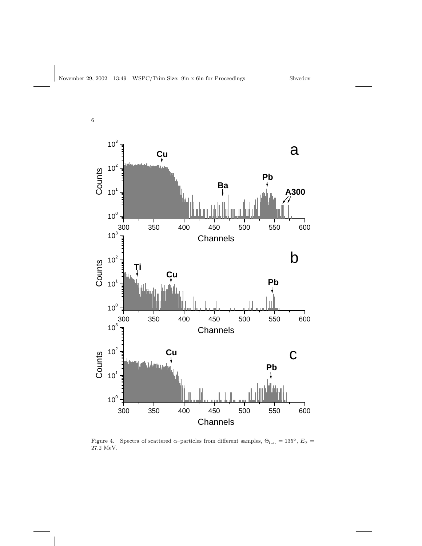

Figure 4. Spectra of scattered  $\alpha$ –particles from different samples,  $\Theta_{l.s.} = 135^{\circ}$ ,  $E_{\alpha} =$ 27.2 MeV.